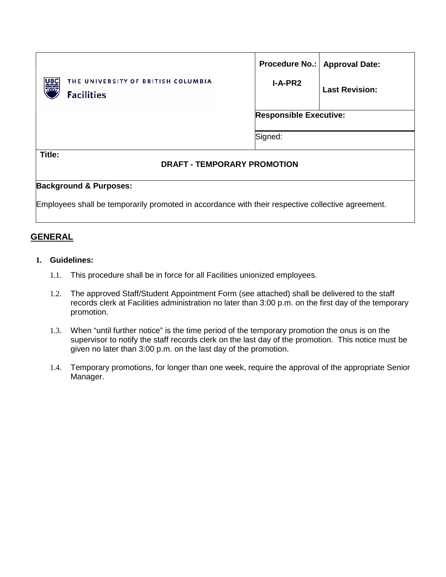| THE UNIVERSITY OF BRITISH COLUMBIA<br><u>पार</u><br>राज | $I-A-PR2$                     | Procedure No.:   Approval Date: |  |  |  |  |
|---------------------------------------------------------|-------------------------------|---------------------------------|--|--|--|--|
| <b>Facilities</b>                                       |                               | <b>Last Revision:</b>           |  |  |  |  |
|                                                         | <b>Responsible Executive:</b> |                                 |  |  |  |  |
|                                                         | Signed:                       |                                 |  |  |  |  |
| Title:<br><b>DRAFT - TEMPORARY PROMOTION</b>            |                               |                                 |  |  |  |  |

## **Background & Purposes:**

Employees shall be temporarily promoted in accordance with their respective collective agreement.

## **GENERAL**

#### **1. Guidelines:**

- 1.1. This procedure shall be in force for all Facilities unionized employees.
- 1.2. The approved Staff/Student Appointment Form (see attached) shall be delivered to the staff records clerk at Facilities administration no later than 3:00 p.m. on the first day of the temporary promotion.
- 1.3. When "until further notice" is the time period of the temporary promotion the onus is on the supervisor to notify the staff records clerk on the last day of the promotion. This notice must be given no later than 3:00 p.m. on the last day of the promotion.
- 1.4. Temporary promotions, for longer than one week, require the approval of the appropriate Senior Manager.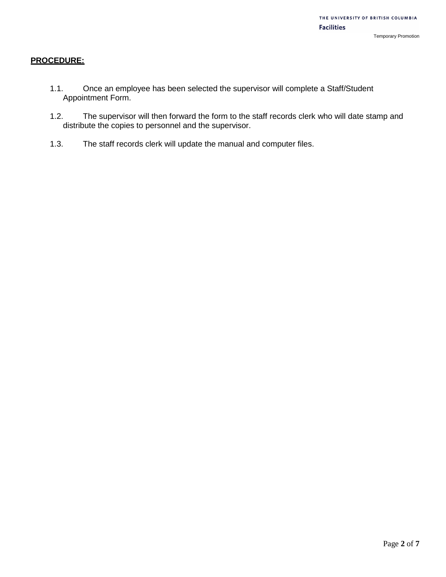#### **PROCEDURE:**

- 1.1. Once an employee has been selected the supervisor will complete a Staff/Student Appointment Form.
- 1.2. The supervisor will then forward the form to the staff records clerk who will date stamp and distribute the copies to personnel and the supervisor.
- 1.3. The staff records clerk will update the manual and computer files.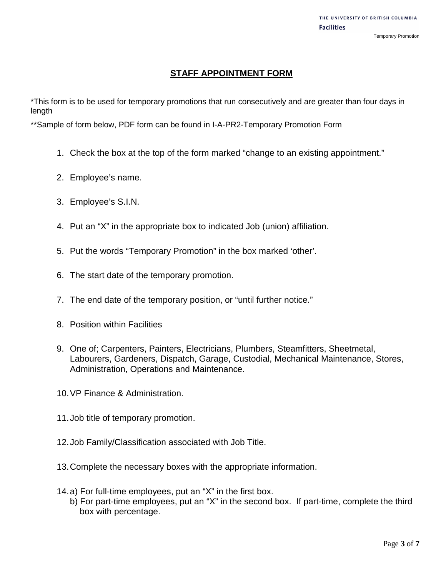## **STAFF APPOINTMENT FORM**

\*This form is to be used for temporary promotions that run consecutively and are greater than four days in length

\*\*Sample of form below, PDF form can be found in I-A-PR2-Temporary Promotion Form

- 1. Check the box at the top of the form marked "change to an existing appointment."
- 2. Employee's name.
- 3. Employee's S.I.N.
- 4. Put an "X" in the appropriate box to indicated Job (union) affiliation.
- 5. Put the words "Temporary Promotion" in the box marked 'other'.
- 6. The start date of the temporary promotion.
- 7. The end date of the temporary position, or "until further notice."
- 8. Position within Facilities
- 9. One of; Carpenters, Painters, Electricians, Plumbers, Steamfitters, Sheetmetal, Labourers, Gardeners, Dispatch, Garage, Custodial, Mechanical Maintenance, Stores, Administration, Operations and Maintenance.
- 10.VP Finance & Administration.
- 11.Job title of temporary promotion.
- 12.Job Family/Classification associated with Job Title.
- 13.Complete the necessary boxes with the appropriate information.
- 14.a) For full-time employees, put an "X" in the first box.
	- b) For part-time employees, put an "X" in the second box. If part-time, complete the third box with percentage.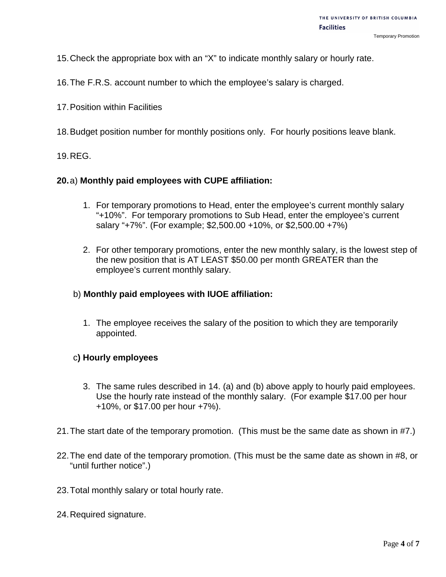- 15.Check the appropriate box with an "X" to indicate monthly salary or hourly rate.
- 16.The F.R.S. account number to which the employee's salary is charged.
- 17.Position within Facilities
- 18.Budget position number for monthly positions only. For hourly positions leave blank.

## 19.REG.

## **20.**a) **Monthly paid employees with CUPE affiliation:**

- 1. For temporary promotions to Head, enter the employee's current monthly salary "+10%". For temporary promotions to Sub Head, enter the employee's current salary "+7%". (For example; \$2,500.00 +10%, or \$2,500.00 +7%)
- 2. For other temporary promotions, enter the new monthly salary, is the lowest step of the new position that is AT LEAST \$50.00 per month GREATER than the employee's current monthly salary.

## b) **Monthly paid employees with IUOE affiliation:**

1. The employee receives the salary of the position to which they are temporarily appointed.

# c**) Hourly employees**

- 3. The same rules described in 14. (a) and (b) above apply to hourly paid employees. Use the hourly rate instead of the monthly salary. (For example \$17.00 per hour +10%, or \$17.00 per hour +7%).
- 21.The start date of the temporary promotion. (This must be the same date as shown in #7.)
- 22.The end date of the temporary promotion. (This must be the same date as shown in #8, or "until further notice".)
- 23.Total monthly salary or total hourly rate.
- 24.Required signature.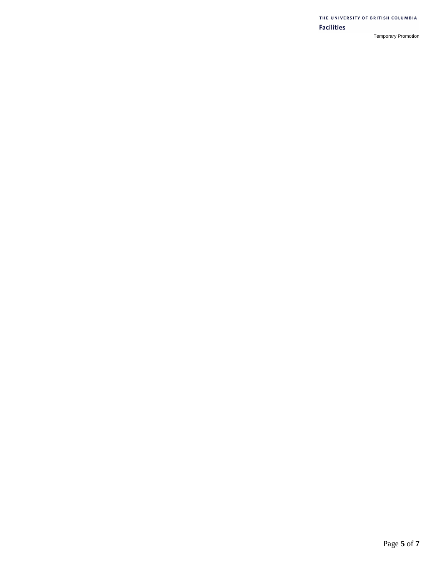**Facilities** 

Temporary Promotion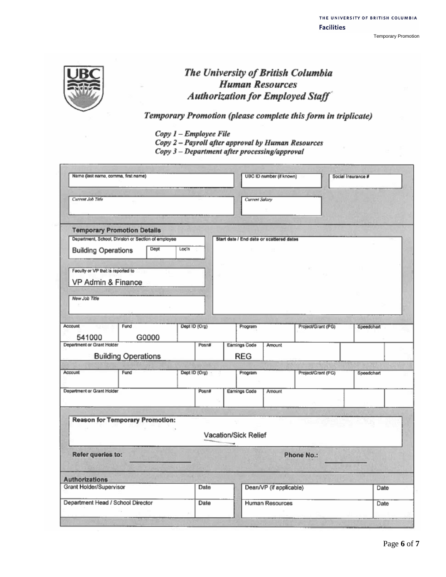

# The University of British Columbia **Human Resources Authorization for Employed Staff**

Temporary Promotion (please complete this form in triplicate)

Copy 1 - Employee File

Copy 2 - Payroll after approval by Human Resources

Copy 3 - Department after processing/approval

| Name (last name, comma, first name)<br>Current Job Title |                                                     |               |       | UBC ID number (if known)                 |                         |                    | Social Insurance # |  |
|----------------------------------------------------------|-----------------------------------------------------|---------------|-------|------------------------------------------|-------------------------|--------------------|--------------------|--|
|                                                          |                                                     |               |       | Current Salary                           |                         |                    |                    |  |
| <b>Temporary Promotion Details</b>                       | Department, School, Division or Section of employee |               |       | Start date / End date or scattered dates |                         |                    |                    |  |
| <b>Building Operations</b>                               | Dept                                                | Loc'n         |       |                                          |                         |                    |                    |  |
| Faculty or VP that is reported to<br>VP Admin & Finance  |                                                     |               |       |                                          |                         |                    |                    |  |
| New Job Title                                            |                                                     |               |       |                                          |                         |                    |                    |  |
| Account<br>541000                                        | Fund<br>G0000                                       | Dept ID (Org) |       | Program                                  |                         | Project/Grant (PG) | Speedchart         |  |
| Department or Grant Holder                               | <b>Building Operations</b>                          |               | Posn# | Earnings Code<br><b>REG</b>              | Amount                  |                    |                    |  |
| Account                                                  | Fund                                                | Dept ID (Org) |       | Program                                  |                         | Project/Grant (PG) | Speedchart         |  |
| Department or Grant Holder                               |                                                     |               | Posn# | Earnings Code                            | <b>Amount</b>           |                    |                    |  |
|                                                          | <b>Reason for Temporary Promotion:</b>              |               |       | Vacation/Sick Relief                     |                         |                    |                    |  |
| Refer queries to:                                        |                                                     |               |       |                                          |                         | <b>Phone No.:</b>  |                    |  |
|                                                          |                                                     |               |       |                                          |                         |                    |                    |  |
|                                                          |                                                     |               |       |                                          |                         |                    |                    |  |
| <b>Authorizations</b><br>Grant Holder/Supervisor         |                                                     |               | Date  |                                          | Dean/VP (if applicable) |                    | Date               |  |